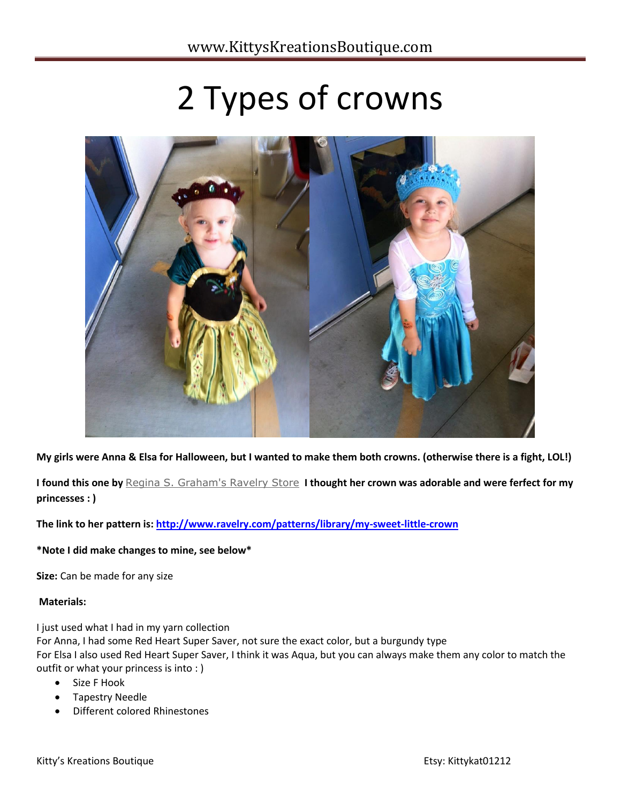# 2 Types of crowns



**My girls were Anna & Elsa for Halloween, but I wanted to make them both crowns. (otherwise there is a fight, LOL!)**

**I found this one by** [Regina S. Graham's Ravelry Store](http://www.ravelry.com/patterns/sources/regina-s-grahams-ravelry-store) **I thought her crown was adorable and were ferfect for my princesses : )**

**The link to her pattern is:<http://www.ravelry.com/patterns/library/my-sweet-little-crown>**

## **\*Note I did make changes to mine, see below\***

**Size:** Can be made for any size

## **Materials:**

I just used what I had in my yarn collection

For Anna, I had some Red Heart Super Saver, not sure the exact color, but a burgundy type For Elsa I also used Red Heart Super Saver, I think it was Aqua, but you can always make them any color to match the outfit or what your princess is into : )

- Size F Hook
- Tapestry Needle
- Different colored Rhinestones